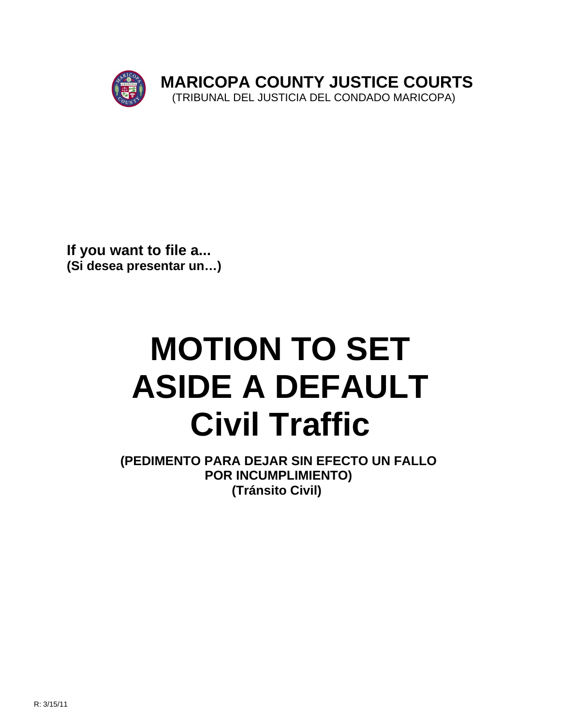

**If you want to file a... (Si desea presentar un…)**

# **MOTION TO SET ASIDE A DEFAULT Civil Traffic**

**(PEDIMENTO PARA DEJAR SIN EFECTO UN FALLO POR INCUMPLIMIENTO) (Tránsito Civil)**